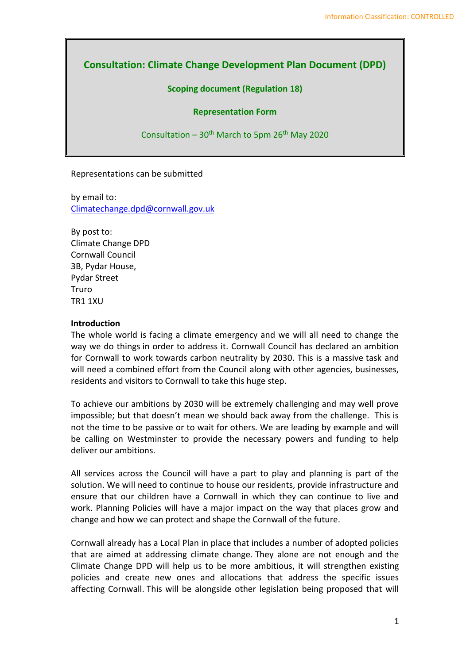# **Consultation: Climate Change Development Plan Document (DPD)**

#### **Scoping document (Regulation 18)**

#### **Representation Form**

Consultation –  $30<sup>th</sup>$  March to 5pm  $26<sup>th</sup>$  May 2020

Representations can be submitted

by email to: [Climatechange.dpd@cornwall.gov.uk](mailto:Climatechange.dpd@cornwall.gov.uk)

By post to: Climate Change DPD Cornwall Council 3B, Pydar House, Pydar Street Truro TR1 1XU

#### **Introduction**

The whole world is facing a climate emergency and we will all need to change the way we do things in order to address it. Cornwall Council has declared an ambition for Cornwall to work towards carbon neutrality by 2030. This is a massive task and will need a combined effort from the Council along with other agencies, businesses, residents and visitors to Cornwall to take this huge step.

To achieve our ambitions by 2030 will be extremely challenging and may well prove impossible; but that doesn't mean we should back away from the challenge. This is not the time to be passive or to wait for others. We are leading by example and will be calling on Westminster to provide the necessary powers and funding to help deliver our ambitions.

All services across the Council will have a part to play and planning is part of the solution. We will need to continue to house our residents, provide infrastructure and ensure that our children have a Cornwall in which they can continue to live and work. Planning Policies will have a major impact on the way that places grow and change and how we can protect and shape the Cornwall of the future.

Cornwall already has a Local Plan in place that includes a number of adopted policies that are aimed at addressing climate change. They alone are not enough and the Climate Change DPD will help us to be more ambitious, it will strengthen existing policies and create new ones and allocations that address the specific issues affecting Cornwall. This will be alongside other legislation being proposed that will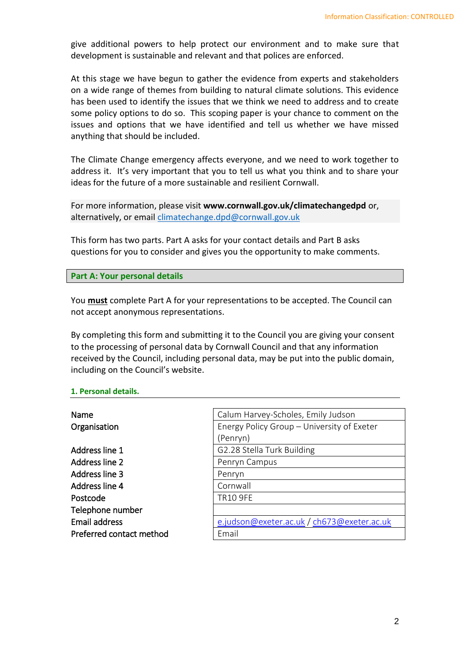give additional powers to help protect our environment and to make sure that development is sustainable and relevant and that polices are enforced.

At this stage we have begun to gather the evidence from experts and stakeholders on a wide range of themes from building to natural climate solutions. This evidence has been used to identify the issues that we think we need to address and to create some policy options to do so. This scoping paper is your chance to comment on the issues and options that we have identified and tell us whether we have missed anything that should be included.

The Climate Change emergency affects everyone, and we need to work together to address it. It's very important that you to tell us what you think and to share your ideas for the future of a more sustainable and resilient Cornwall.

For more information, please visit **www.cornwall.gov.uk/climatechangedpd** or, alternatively, or email climatechange.dpd@cornwall.gov.uk

This form has two parts. Part A asks for your contact details and Part B asks questions for you to consider and gives you the opportunity to make comments.

**Part A: Your personal details**

You **must** complete Part A for your representations to be accepted. The Council can not accept anonymous representations.

By completing this form and submitting it to the Council you are giving your consent to the processing of personal data by Cornwall Council and that any information received by the Council, including personal data, may be put into the public domain, including on the Council's website.

#### **1. Personal details.**

| Name                     | Calum Harvey-Scholes, Emily Judson         |
|--------------------------|--------------------------------------------|
| Organisation             | Energy Policy Group - University of Exeter |
|                          | (Penryn)                                   |
| Address line 1           | G2.28 Stella Turk Building                 |
| Address line 2           | Penryn Campus                              |
| Address line 3           | Penryn                                     |
| Address line 4           | Cornwall                                   |
| Postcode                 | <b>TR10 9FE</b>                            |
| Telephone number         |                                            |
| <b>Email address</b>     | e.judson@exeter.ac.uk / ch673@exeter.ac.uk |
| Preferred contact method | Email                                      |
|                          |                                            |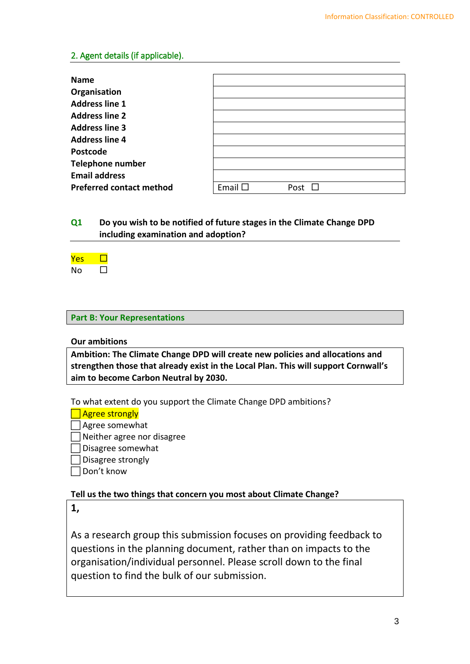#### 2. Agent details (if applicable).

| <b>Name</b>                     |                 |      |
|---------------------------------|-----------------|------|
| Organisation                    |                 |      |
| <b>Address line 1</b>           |                 |      |
| <b>Address line 2</b>           |                 |      |
| <b>Address line 3</b>           |                 |      |
| <b>Address line 4</b>           |                 |      |
| Postcode                        |                 |      |
| <b>Telephone number</b>         |                 |      |
| <b>Email address</b>            |                 |      |
| <b>Preferred contact method</b> | Email $\square$ | Post |

## **Q1 Do you wish to be notified of future stages in the Climate Change DPD including examination and adoption?**

| в |  |
|---|--|

#### **Part B: Your Representations**

#### **Our ambitions**

**Ambition: The Climate Change DPD will create new policies and allocations and strengthen those that already exist in the Local Plan. This will support Cornwall's aim to become Carbon Neutral by 2030.**

To what extent do you support the Climate Change DPD ambitions?

 $\Box$  Agree strongly

Agree somewhat

Neither agree nor disagree

Disagree somewhat

 $\Box$  Disagree strongly

Don't know

**Tell us the two things that concern you most about Climate Change?**

**1,** 

As a research group this submission focuses on providing feedback to questions in the planning document, rather than on impacts to the organisation/individual personnel. Please scroll down to the final question to find the bulk of our submission.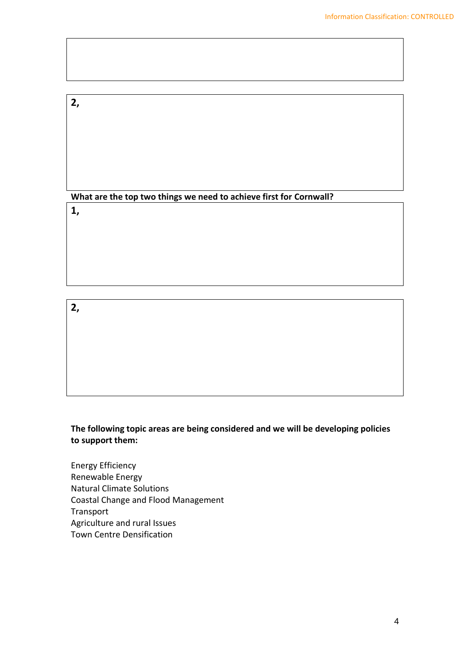# **2,**

# **What are the top two things we need to achieve first for Cornwall?**

# **1,**

# **2,**

## **The following topic areas are being considered and we will be developing policies to support them:**

Energy Efficiency Renewable Energy Natural Climate Solutions Coastal Change and Flood Management Transport Agriculture and rural Issues Town Centre Densification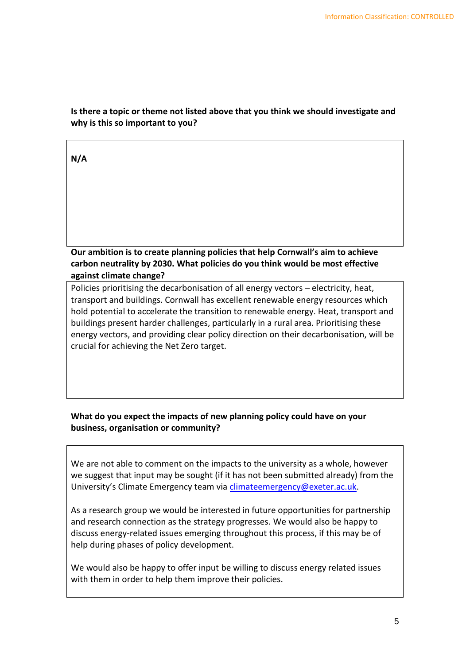## **Is there a topic or theme not listed above that you think we should investigate and why is this so important to you?**

|--|

## **Our ambition is to create planning policies that help Cornwall's aim to achieve carbon neutrality by 2030. What policies do you think would be most effective against climate change?**

Policies prioritising the decarbonisation of all energy vectors – electricity, heat, transport and buildings. Cornwall has excellent renewable energy resources which hold potential to accelerate the transition to renewable energy. Heat, transport and buildings present harder challenges, particularly in a rural area. Prioritising these energy vectors, and providing clear policy direction on their decarbonisation, will be crucial for achieving the Net Zero target.

## **What do you expect the impacts of new planning policy could have on your business, organisation or community?**

We are not able to comment on the impacts to the university as a whole, however we suggest that input may be sought (if it has not been submitted already) from the University's Climate Emergency team via [climateemergency@exeter.ac.uk.](mailto:climateemergency@exeter.ac.uk)

As a research group we would be interested in future opportunities for partnership and research connection as the strategy progresses. We would also be happy to discuss energy-related issues emerging throughout this process, if this may be of help during phases of policy development.

We would also be happy to offer input be willing to discuss energy related issues with them in order to help them improve their policies.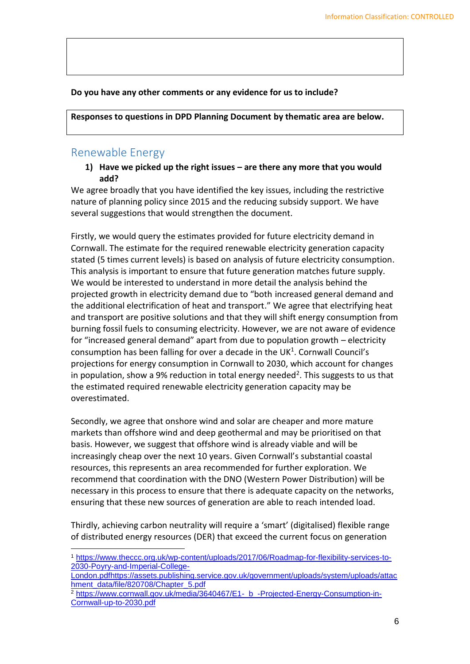#### **Do you have any other comments or any evidence for us to include?**

**Responses to questions in DPD Planning Document by thematic area are below.**

# Renewable Energy

**1) Have we picked up the right issues – are there any more that you would add?**

We agree broadly that you have identified the key issues, including the restrictive nature of planning policy since 2015 and the reducing subsidy support. We have several suggestions that would strengthen the document.

Firstly, we would query the estimates provided for future electricity demand in Cornwall. The estimate for the required renewable electricity generation capacity stated (5 times current levels) is based on analysis of future electricity consumption. This analysis is important to ensure that future generation matches future supply. We would be interested to understand in more detail the analysis behind the projected growth in electricity demand due to "both increased general demand and the additional electrification of heat and transport." We agree that electrifying heat and transport are positive solutions and that they will shift energy consumption from burning fossil fuels to consuming electricity. However, we are not aware of evidence for "increased general demand" apart from due to population growth – electricity consumption has been falling for over a decade in the UK<sup>1</sup>. Cornwall Council's projections for energy consumption in Cornwall to 2030, which account for changes in population, show a 9% reduction in total energy needed<sup>2</sup>. This suggests to us that the estimated required renewable electricity generation capacity may be overestimated.

Secondly, we agree that onshore wind and solar are cheaper and more mature markets than offshore wind and deep geothermal and may be prioritised on that basis. However, we suggest that offshore wind is already viable and will be increasingly cheap over the next 10 years. Given Cornwall's substantial coastal resources, this represents an area recommended for further exploration. We recommend that coordination with the DNO (Western Power Distribution) will be necessary in this process to ensure that there is adequate capacity on the networks, ensuring that these new sources of generation are able to reach intended load.

Thirdly, achieving carbon neutrality will require a 'smart' (digitalised) flexible range of distributed energy resources (DER) that exceed the current focus on generation

 <sup>1</sup> [https://www.theccc.org.uk/wp-content/uploads/2017/06/Roadmap-for-flexibility-services-to-](https://www.theccc.org.uk/wp-content/uploads/2017/06/Roadmap-for-flexibility-services-to-2030-Poyry-and-Imperial-College-London.pdf)[2030-Poyry-and-Imperial-College-](https://www.theccc.org.uk/wp-content/uploads/2017/06/Roadmap-for-flexibility-services-to-2030-Poyry-and-Imperial-College-London.pdf)

[London.pdf](https://www.theccc.org.uk/wp-content/uploads/2017/06/Roadmap-for-flexibility-services-to-2030-Poyry-and-Imperial-College-London.pdf)[https://assets.publishing.service.gov.uk/government/uploads/system/uploads/attac](https://assets.publishing.service.gov.uk/government/uploads/system/uploads/attachment_data/file/820708/Chapter_5.pdf) [hment\\_data/file/820708/Chapter\\_5.pdf](https://assets.publishing.service.gov.uk/government/uploads/system/uploads/attachment_data/file/820708/Chapter_5.pdf)

<sup>&</sup>lt;sup>2</sup> https://www.cornwall.gov.uk/media/3640467/E1- b -Projected-Energy-Consumption-in-[Cornwall-up-to-2030.pdf](https://www.cornwall.gov.uk/media/3640467/E1-_b_-Projected-Energy-Consumption-in-Cornwall-up-to-2030.pdf)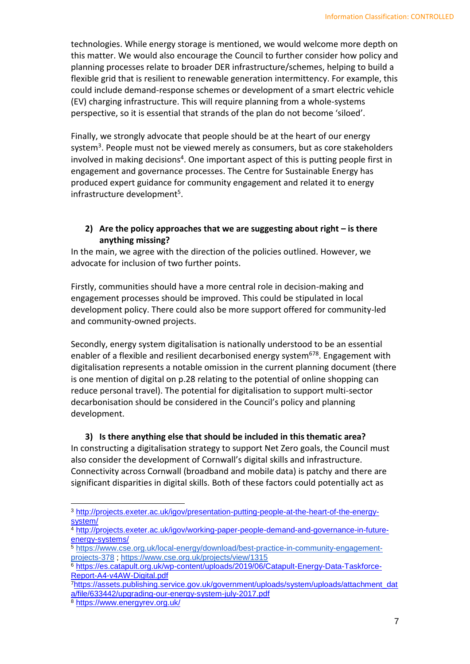technologies. While energy storage is mentioned, we would welcome more depth on this matter. We would also encourage the Council to further consider how policy and planning processes relate to broader DER infrastructure/schemes, helping to build a flexible grid that is resilient to renewable generation intermittency. For example, this could include demand-response schemes or development of a smart electric vehicle (EV) charging infrastructure. This will require planning from a whole-systems perspective, so it is essential that strands of the plan do not become 'siloed'.

Finally, we strongly advocate that people should be at the heart of our energy system<sup>3</sup>. People must not be viewed merely as consumers, but as core stakeholders involved in making decisions<sup>4</sup>. One important aspect of this is putting people first in engagement and governance processes. The Centre for Sustainable Energy has produced expert guidance for community engagement and related it to energy infrastructure development<sup>5</sup>.

#### **2)** Are the policy approaches that we are suggesting about right – is there **anything missing?**

In the main, we agree with the direction of the policies outlined. However, we advocate for inclusion of two further points.

Firstly, communities should have a more central role in decision-making and engagement processes should be improved. This could be stipulated in local development policy. There could also be more support offered for community-led and community-owned projects.

Secondly, energy system digitalisation is nationally understood to be an essential enabler of a flexible and resilient decarbonised energy system<sup>678</sup>. Engagement with digitalisation represents a notable omission in the current planning document (there is one mention of digital on p.28 relating to the potential of online shopping can reduce personal travel). The potential for digitalisation to support multi-sector decarbonisation should be considered in the Council's policy and planning development.

## **3) Is there anything else that should be included in this thematic area?** In constructing a digitalisation strategy to support Net Zero goals, the Council must also consider the development of Cornwall's digital skills and infrastructure. Connectivity across Cornwall (broadband and mobile data) is patchy and there are significant disparities in digital skills. Both of these factors could potentially act as

<sup>3</sup> [http://projects.exeter.ac.uk/igov/presentation-putting-people-at-the-heart-of-the-energy](http://projects.exeter.ac.uk/igov/presentation-putting-people-at-the-heart-of-the-energy-system/)[system/](http://projects.exeter.ac.uk/igov/presentation-putting-people-at-the-heart-of-the-energy-system/)

<sup>&</sup>lt;sup>4</sup> [http://projects.exeter.ac.uk/igov/working-paper-people-demand-and-governance-in-future](http://projects.exeter.ac.uk/igov/working-paper-people-demand-and-governance-in-future-energy-systems/)[energy-systems/](http://projects.exeter.ac.uk/igov/working-paper-people-demand-and-governance-in-future-energy-systems/)

<sup>5</sup> [https://www.cse.org.uk/local-energy/download/best-practice-in-community-engagement](https://www.cse.org.uk/local-energy/download/best-practice-in-community-engagement-projects-378)[projects-378](https://www.cse.org.uk/local-energy/download/best-practice-in-community-engagement-projects-378) ;<https://www.cse.org.uk/projects/view/1315>

<sup>6</sup> [https://es.catapult.org.uk/wp-content/uploads/2019/06/Catapult-Energy-Data-Taskforce-](https://es.catapult.org.uk/wp-content/uploads/2019/06/Catapult-Energy-Data-Taskforce-Report-A4-v4AW-Digital.pdf)[Report-A4-v4AW-Digital.pdf](https://es.catapult.org.uk/wp-content/uploads/2019/06/Catapult-Energy-Data-Taskforce-Report-A4-v4AW-Digital.pdf)

<sup>7</sup>[https://assets.publishing.service.gov.uk/government/uploads/system/uploads/attachment\\_dat](https://assets.publishing.service.gov.uk/government/uploads/system/uploads/attachment_data/file/633442/upgrading-our-energy-system-july-2017.pdf) [a/file/633442/upgrading-our-energy-system-july-2017.pdf](https://assets.publishing.service.gov.uk/government/uploads/system/uploads/attachment_data/file/633442/upgrading-our-energy-system-july-2017.pdf)

<sup>8</sup> <https://www.energyrev.org.uk/>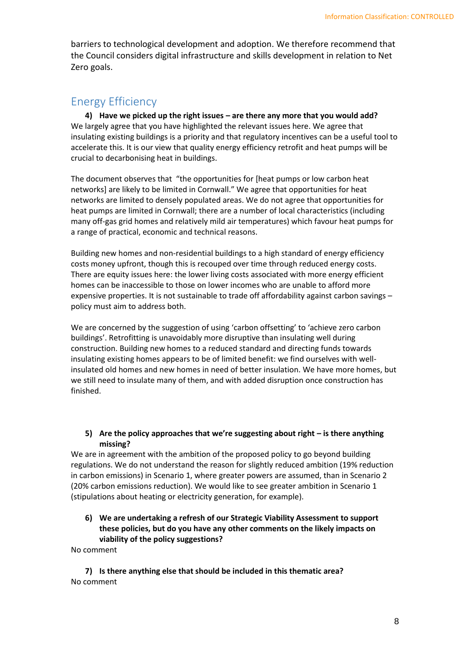barriers to technological development and adoption. We therefore recommend that the Council considers digital infrastructure and skills development in relation to Net Zero goals.

# Energy Efficiency

**4) Have we picked up the right issues – are there any more that you would add?** We largely agree that you have highlighted the relevant issues here. We agree that insulating existing buildings is a priority and that regulatory incentives can be a useful tool to accelerate this. It is our view that quality energy efficiency retrofit and heat pumps will be crucial to decarbonising heat in buildings.

The document observes that "the opportunities for [heat pumps or low carbon heat networks] are likely to be limited in Cornwall." We agree that opportunities for heat networks are limited to densely populated areas. We do not agree that opportunities for heat pumps are limited in Cornwall; there are a number of local characteristics (including many off-gas grid homes and relatively mild air temperatures) which favour heat pumps for a range of practical, economic and technical reasons.

Building new homes and non-residential buildings to a high standard of energy efficiency costs money upfront, though this is recouped over time through reduced energy costs. There are equity issues here: the lower living costs associated with more energy efficient homes can be inaccessible to those on lower incomes who are unable to afford more expensive properties. It is not sustainable to trade off affordability against carbon savings – policy must aim to address both.

We are concerned by the suggestion of using 'carbon offsetting' to 'achieve zero carbon buildings'. Retrofitting is unavoidably more disruptive than insulating well during construction. Building new homes to a reduced standard and directing funds towards insulating existing homes appears to be of limited benefit: we find ourselves with wellinsulated old homes and new homes in need of better insulation. We have more homes, but we still need to insulate many of them, and with added disruption once construction has finished.

#### **5) Are the policy approaches that we're suggesting about right – is there anything missing?**

We are in agreement with the ambition of the proposed policy to go beyond building regulations. We do not understand the reason for slightly reduced ambition (19% reduction in carbon emissions) in Scenario 1, where greater powers are assumed, than in Scenario 2 (20% carbon emissions reduction). We would like to see greater ambition in Scenario 1 (stipulations about heating or electricity generation, for example).

**6) We are undertaking a refresh of our Strategic Viability Assessment to support these policies, but do you have any other comments on the likely impacts on viability of the policy suggestions?**

No comment

**7) Is there anything else that should be included in this thematic area?** No comment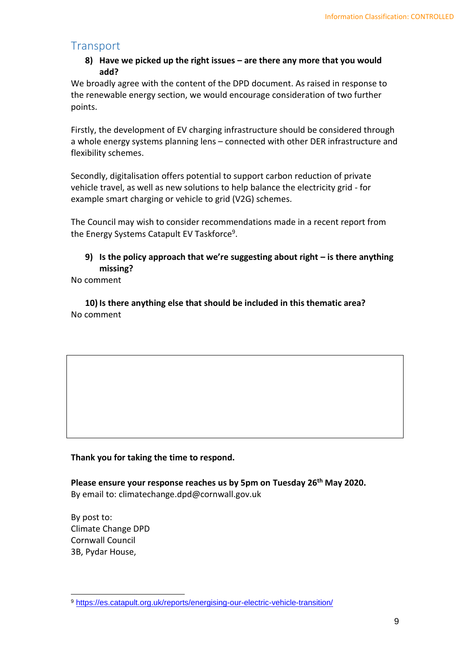# **Transport**

#### **8) Have we picked up the right issues – are there any more that you would add?**

We broadly agree with the content of the DPD document. As raised in response to the renewable energy section, we would encourage consideration of two further points.

Firstly, the development of EV charging infrastructure should be considered through a whole energy systems planning lens – connected with other DER infrastructure and flexibility schemes.

Secondly, digitalisation offers potential to support carbon reduction of private vehicle travel, as well as new solutions to help balance the electricity grid - for example smart charging or vehicle to grid (V2G) schemes.

The Council may wish to consider recommendations made in a recent report from the Energy Systems Catapult EV Taskforce<sup>9</sup>.

## **9) Is the policy approach that we're suggesting about right – is there anything missing?**

No comment

**10) Is there anything else that should be included in this thematic area?** No comment

#### **Thank you for taking the time to respond.**

**Please ensure your response reaches us by 5pm on Tuesday 26th May 2020.** By email to: climatechange.dpd@cornwall.gov.uk

By post to: Climate Change DPD Cornwall Council 3B, Pydar House,

 <sup>9</sup> <https://es.catapult.org.uk/reports/energising-our-electric-vehicle-transition/>